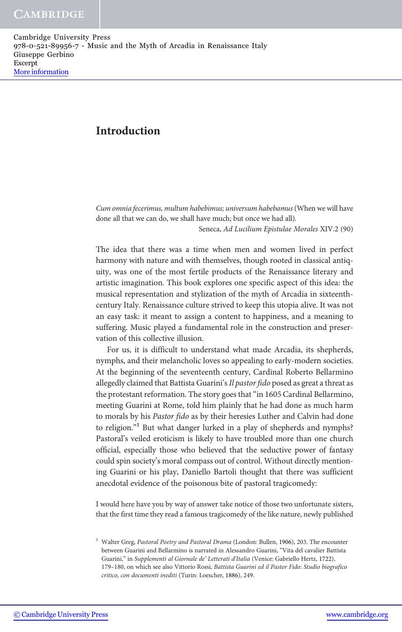# Introduction

Cum omnia fecerimus, multum habebimus; universum habebamus (When we will have done all that we can do, we shall have much; but once we had all).

Seneca, Ad Lucilium Epistulae Morales XIV.2 (90)

The idea that there was a time when men and women lived in perfect harmony with nature and with themselves, though rooted in classical antiquity, was one of the most fertile products of the Renaissance literary and artistic imagination. This book explores one specific aspect of this idea: the musical representation and stylization of the myth of Arcadia in sixteenthcentury Italy. Renaissance culture strived to keep this utopia alive. It was not an easy task: it meant to assign a content to happiness, and a meaning to suffering. Music played a fundamental role in the construction and preservation of this collective illusion.

For us, it is difficult to understand what made Arcadia, its shepherds, nymphs, and their melancholic loves so appealing to early-modern societies. At the beginning of the seventeenth century, Cardinal Roberto Bellarmino allegedly claimed that Battista Guarini's Il pastor fido posed as great a threat as the protestant reformation. The story goes that "in 1605 Cardinal Bellarmino, meeting Guarini at Rome, told him plainly that he had done as much harm to morals by his Pastor fido as by their heresies Luther and Calvin had done to religion."<sup>1</sup> But what danger lurked in a play of shepherds and nymphs? Pastoral's veiled eroticism is likely to have troubled more than one church official, especially those who believed that the seductive power of fantasy could spin society's moral compass out of control. Without directly mentioning Guarini or his play, Daniello Bartoli thought that there was sufficient anecdotal evidence of the poisonous bite of pastoral tragicomedy:

I would here have you by way of answer take notice of those two unfortunate sisters, that the first time they read a famous tragicomedy of the like nature, newly published

<sup>&</sup>lt;sup>1</sup> Walter Greg, Pastoral Poetry and Pastoral Drama (London: Bullen, 1906), 203. The encounter between Guarini and Bellarmino is narrated in Alessandro Guarini, "Vita del cavalier Battista Guarini," in Supplementi al Giornale de' Letterati d'Italia (Venice: Gabriello Hertz, 1722), 179–180, on which see also Vittorio Rossi, Battista Guarini ed il Pastor Fido: Studio biografico critico, con documenti inediti (Turin: Loescher, 1886), 249.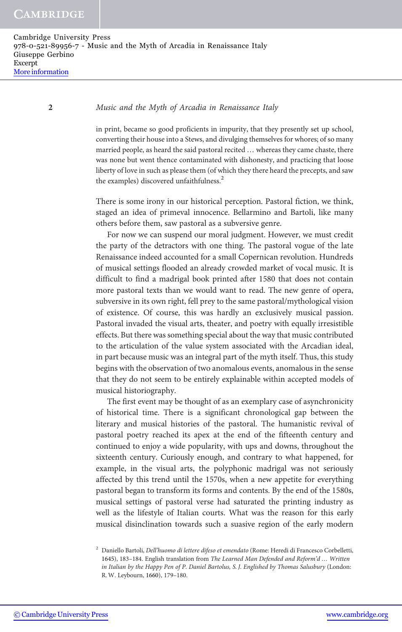in print, became so good proficients in impurity, that they presently set up school, converting their house into a Stews, and divulging themselves for whores; of so many married people, as heard the said pastoral recited … whereas they came chaste, there was none but went thence contaminated with dishonesty, and practicing that loose liberty of love in such as please them (of which they there heard the precepts, and saw the examples) discovered unfaithfulness.<sup>2</sup>

There is some irony in our historical perception. Pastoral fiction, we think, staged an idea of primeval innocence. Bellarmino and Bartoli, like many others before them, saw pastoral as a subversive genre.

For now we can suspend our moral judgment. However, we must credit the party of the detractors with one thing. The pastoral vogue of the late Renaissance indeed accounted for a small Copernican revolution. Hundreds of musical settings flooded an already crowded market of vocal music. It is difficult to find a madrigal book printed after 1580 that does not contain more pastoral texts than we would want to read. The new genre of opera, subversive in its own right, fell prey to the same pastoral/mythological vision of existence. Of course, this was hardly an exclusively musical passion. Pastoral invaded the visual arts, theater, and poetry with equally irresistible effects. But there was something special about the way that music contributed to the articulation of the value system associated with the Arcadian ideal, in part because music was an integral part of the myth itself. Thus, this study begins with the observation of two anomalous events, anomalous in the sense that they do not seem to be entirely explainable within accepted models of musical historiography.

The first event may be thought of as an exemplary case of asynchronicity of historical time. There is a significant chronological gap between the literary and musical histories of the pastoral. The humanistic revival of pastoral poetry reached its apex at the end of the fifteenth century and continued to enjoy a wide popularity, with ups and downs, throughout the sixteenth century. Curiously enough, and contrary to what happened, for example, in the visual arts, the polyphonic madrigal was not seriously affected by this trend until the 1570s, when a new appetite for everything pastoral began to transform its forms and contents. By the end of the 1580s, musical settings of pastoral verse had saturated the printing industry as well as the lifestyle of Italian courts. What was the reason for this early musical disinclination towards such a suasive region of the early modern

<sup>&</sup>lt;sup>2</sup> Daniello Bartoli, *Dell'huomo di lettere difeso et emendato* (Rome: Heredi di Francesco Corbelletti, 1645), 183–184. English translation from The Learned Man Defended and Reform'd … Written in Italian by the Happy Pen of P. Daniel Bartolus, S. J. Englished by Thomas Salusbury (London: R. W. Leybourn, 1660), 179–180.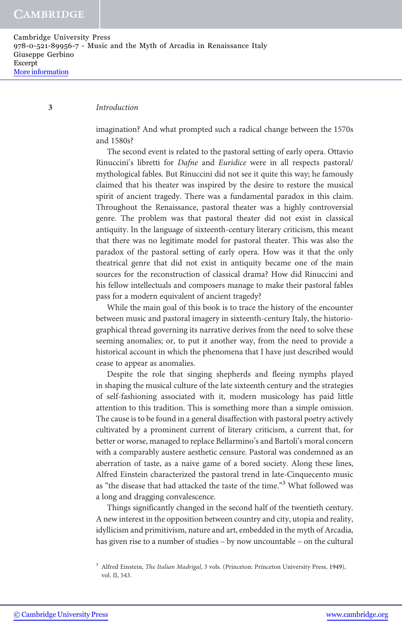#### 3 Introduction

imagination? And what prompted such a radical change between the 1570s and 1580s?

The second event is related to the pastoral setting of early opera. Ottavio Rinuccini's libretti for Dafne and Euridice were in all respects pastoral/ mythological fables. But Rinuccini did not see it quite this way; he famously claimed that his theater was inspired by the desire to restore the musical spirit of ancient tragedy. There was a fundamental paradox in this claim. Throughout the Renaissance, pastoral theater was a highly controversial genre. The problem was that pastoral theater did not exist in classical antiquity. In the language of sixteenth-century literary criticism, this meant that there was no legitimate model for pastoral theater. This was also the paradox of the pastoral setting of early opera. How was it that the only theatrical genre that did not exist in antiquity became one of the main sources for the reconstruction of classical drama? How did Rinuccini and his fellow intellectuals and composers manage to make their pastoral fables pass for a modern equivalent of ancient tragedy?

While the main goal of this book is to trace the history of the encounter between music and pastoral imagery in sixteenth-century Italy, the historiographical thread governing its narrative derives from the need to solve these seeming anomalies; or, to put it another way, from the need to provide a historical account in which the phenomena that I have just described would cease to appear as anomalies.

Despite the role that singing shepherds and fleeing nymphs played in shaping the musical culture of the late sixteenth century and the strategies of self-fashioning associated with it, modern musicology has paid little attention to this tradition. This is something more than a simple omission. The cause is to be found in a general disaffection with pastoral poetry actively cultivated by a prominent current of literary criticism, a current that, for better or worse, managed to replace Bellarmino's and Bartoli's moral concern with a comparably austere aesthetic censure. Pastoral was condemned as an aberration of taste, as a naive game of a bored society. Along these lines, Alfred Einstein characterized the pastoral trend in late-Cinquecento music as "the disease that had attacked the taste of the time."<sup>3</sup> What followed was a long and dragging convalescence.

Things significantly changed in the second half of the twentieth century. A new interest in the opposition between country and city, utopia and reality, idyllicism and primitivism, nature and art, embedded in the myth of Arcadia, has given rise to a number of studies – by now uncountable – on the cultural

<sup>&</sup>lt;sup>3</sup> Alfred Einstein, *The Italian Madrigal*, 3 vols. (Princeton: Princeton University Press, 1949), vol. II, 543.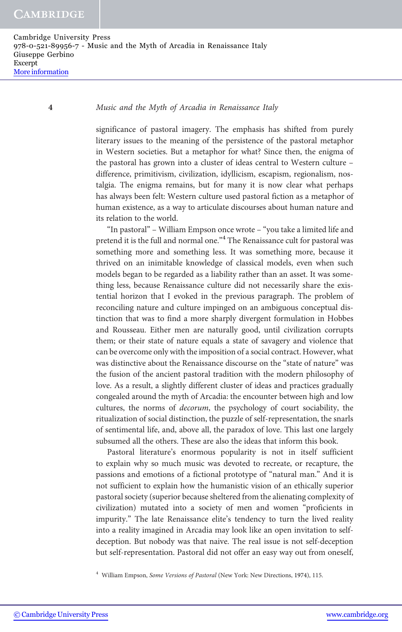significance of pastoral imagery. The emphasis has shifted from purely literary issues to the meaning of the persistence of the pastoral metaphor in Western societies. But a metaphor for what? Since then, the enigma of the pastoral has grown into a cluster of ideas central to Western culture – difference, primitivism, civilization, idyllicism, escapism, regionalism, nostalgia. The enigma remains, but for many it is now clear what perhaps has always been felt: Western culture used pastoral fiction as a metaphor of human existence, as a way to articulate discourses about human nature and its relation to the world.

"In pastoral" – William Empson once wrote – "you take a limited life and pretend it is the full and normal one."<sup>4</sup> The Renaissance cult for pastoral was something more and something less. It was something more, because it thrived on an inimitable knowledge of classical models, even when such models began to be regarded as a liability rather than an asset. It was something less, because Renaissance culture did not necessarily share the existential horizon that I evoked in the previous paragraph. The problem of reconciling nature and culture impinged on an ambiguous conceptual distinction that was to find a more sharply divergent formulation in Hobbes and Rousseau. Either men are naturally good, until civilization corrupts them; or their state of nature equals a state of savagery and violence that can be overcome only with the imposition of a social contract. However, what was distinctive about the Renaissance discourse on the "state of nature" was the fusion of the ancient pastoral tradition with the modern philosophy of love. As a result, a slightly different cluster of ideas and practices gradually congealed around the myth of Arcadia: the encounter between high and low cultures, the norms of decorum, the psychology of court sociability, the ritualization of social distinction, the puzzle of self-representation, the snarls of sentimental life, and, above all, the paradox of love. This last one largely subsumed all the others. These are also the ideas that inform this book.

Pastoral literature's enormous popularity is not in itself sufficient to explain why so much music was devoted to recreate, or recapture, the passions and emotions of a fictional prototype of "natural man." And it is not sufficient to explain how the humanistic vision of an ethically superior pastoral society (superior because sheltered from the alienating complexity of civilization) mutated into a society of men and women "proficients in impurity." The late Renaissance elite's tendency to turn the lived reality into a reality imagined in Arcadia may look like an open invitation to selfdeception. But nobody was that naive. The real issue is not self-deception but self-representation. Pastoral did not offer an easy way out from oneself,

<sup>4</sup> William Empson, Some Versions of Pastoral (New York: New Directions, 1974), 115.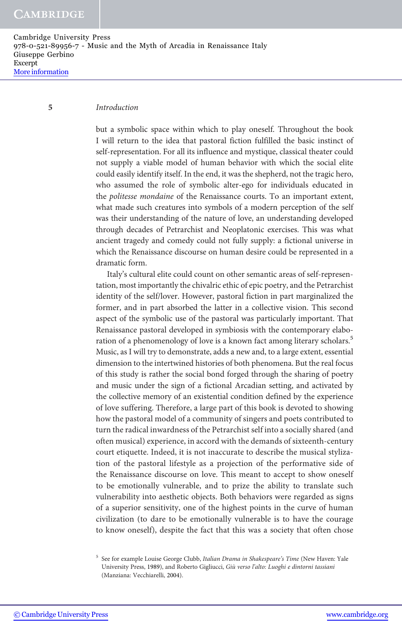Cambridge University Press 978-0-521-89956-7 - Music and the Myth of Arcadia in Renaissance Italy Giuseppe Gerbino Excerpt [More information](http://www.cambridge.org/9780521899567)

#### 5 Introduction

but a symbolic space within which to play oneself. Throughout the book I will return to the idea that pastoral fiction fulfilled the basic instinct of self-representation. For all its influence and mystique, classical theater could not supply a viable model of human behavior with which the social elite could easily identify itself. In the end, it was the shepherd, not the tragic hero, who assumed the role of symbolic alter-ego for individuals educated in the politesse mondaine of the Renaissance courts. To an important extent, what made such creatures into symbols of a modern perception of the self was their understanding of the nature of love, an understanding developed through decades of Petrarchist and Neoplatonic exercises. This was what ancient tragedy and comedy could not fully supply: a fictional universe in which the Renaissance discourse on human desire could be represented in a dramatic form.

Italy's cultural elite could count on other semantic areas of self-representation, most importantly the chivalric ethic of epic poetry, and the Petrarchist identity of the self/lover. However, pastoral fiction in part marginalized the former, and in part absorbed the latter in a collective vision. This second aspect of the symbolic use of the pastoral was particularly important. That Renaissance pastoral developed in symbiosis with the contemporary elaboration of a phenomenology of love is a known fact among literary scholars.<sup>5</sup> Music, as I will try to demonstrate, adds a new and, to a large extent, essential dimension to the intertwined histories of both phenomena. But the real focus of this study is rather the social bond forged through the sharing of poetry and music under the sign of a fictional Arcadian setting, and activated by the collective memory of an existential condition defined by the experience of love suffering. Therefore, a large part of this book is devoted to showing how the pastoral model of a community of singers and poets contributed to turn the radical inwardness of the Petrarchist self into a socially shared (and often musical) experience, in accord with the demands of sixteenth-century court etiquette. Indeed, it is not inaccurate to describe the musical stylization of the pastoral lifestyle as a projection of the performative side of the Renaissance discourse on love. This meant to accept to show oneself to be emotionally vulnerable, and to prize the ability to translate such vulnerability into aesthetic objects. Both behaviors were regarded as signs of a superior sensitivity, one of the highest points in the curve of human civilization (to dare to be emotionally vulnerable is to have the courage to know oneself), despite the fact that this was a society that often chose

<sup>&</sup>lt;sup>5</sup> See for example Louise George Clubb, Italian Drama in Shakespeare's Time (New Haven: Yale University Press, 1989), and Roberto Gigliucci, Giù verso l'alto: Luoghi e dintorni tassiani (Manziana: Vecchiarelli, 2004).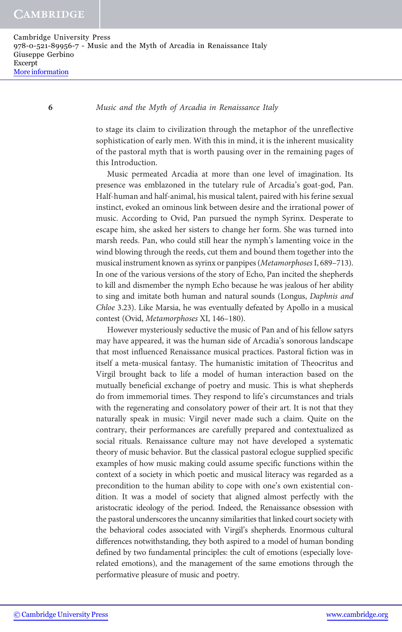to stage its claim to civilization through the metaphor of the unreflective sophistication of early men. With this in mind, it is the inherent musicality of the pastoral myth that is worth pausing over in the remaining pages of this Introduction.

Music permeated Arcadia at more than one level of imagination. Its presence was emblazoned in the tutelary rule of Arcadia's goat-god, Pan. Half-human and half-animal, his musical talent, paired with his ferine sexual instinct, evoked an ominous link between desire and the irrational power of music. According to Ovid, Pan pursued the nymph Syrinx. Desperate to escape him, she asked her sisters to change her form. She was turned into marsh reeds. Pan, who could still hear the nymph's lamenting voice in the wind blowing through the reeds, cut them and bound them together into the musical instrument known as syrinx or panpipes (Metamorphoses I, 689–713). In one of the various versions of the story of Echo, Pan incited the shepherds to kill and dismember the nymph Echo because he was jealous of her ability to sing and imitate both human and natural sounds (Longus, Daphnis and Chloe 3.23). Like Marsia, he was eventually defeated by Apollo in a musical contest (Ovid, Metamorphoses XI, 146–180).

However mysteriously seductive the music of Pan and of his fellow satyrs may have appeared, it was the human side of Arcadia's sonorous landscape that most influenced Renaissance musical practices. Pastoral fiction was in itself a meta-musical fantasy. The humanistic imitation of Theocritus and Virgil brought back to life a model of human interaction based on the mutually beneficial exchange of poetry and music. This is what shepherds do from immemorial times. They respond to life's circumstances and trials with the regenerating and consolatory power of their art. It is not that they naturally speak in music: Virgil never made such a claim. Quite on the contrary, their performances are carefully prepared and contextualized as social rituals. Renaissance culture may not have developed a systematic theory of music behavior. But the classical pastoral eclogue supplied specific examples of how music making could assume specific functions within the context of a society in which poetic and musical literacy was regarded as a precondition to the human ability to cope with one's own existential condition. It was a model of society that aligned almost perfectly with the aristocratic ideology of the period. Indeed, the Renaissance obsession with the pastoral underscores the uncanny similarities that linked court society with the behavioral codes associated with Virgil's shepherds. Enormous cultural differences notwithstanding, they both aspired to a model of human bonding defined by two fundamental principles: the cult of emotions (especially loverelated emotions), and the management of the same emotions through the performative pleasure of music and poetry.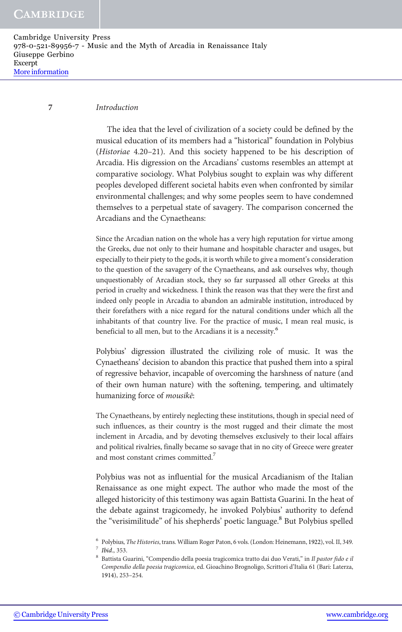### 7 Introduction

The idea that the level of civilization of a society could be defined by the musical education of its members had a "historical" foundation in Polybius (Historiae 4.20–21). And this society happened to be his description of Arcadia. His digression on the Arcadians' customs resembles an attempt at comparative sociology. What Polybius sought to explain was why different peoples developed different societal habits even when confronted by similar environmental challenges; and why some peoples seem to have condemned themselves to a perpetual state of savagery. The comparison concerned the Arcadians and the Cynaetheans:

Since the Arcadian nation on the whole has a very high reputation for virtue among the Greeks, due not only to their humane and hospitable character and usages, but especially to their piety to the gods, it is worth while to give a moment's consideration to the question of the savagery of the Cynaetheans, and ask ourselves why, though unquestionably of Arcadian stock, they so far surpassed all other Greeks at this period in cruelty and wickedness. I think the reason was that they were the first and indeed only people in Arcadia to abandon an admirable institution, introduced by their forefathers with a nice regard for the natural conditions under which all the inhabitants of that country live. For the practice of music, I mean real music, is beneficial to all men, but to the Arcadians it is a necessity.<sup>6</sup>

Polybius' digression illustrated the civilizing role of music. It was the Cynaetheans' decision to abandon this practice that pushed them into a spiral of regressive behavior, incapable of overcoming the harshness of nature (and of their own human nature) with the softening, tempering, and ultimately humanizing force of mousikē:

The Cynaetheans, by entirely neglecting these institutions, though in special need of such influences, as their country is the most rugged and their climate the most inclement in Arcadia, and by devoting themselves exclusively to their local affairs and political rivalries, finally became so savage that in no city of Greece were greater and most constant crimes committed.<sup>7</sup>

Polybius was not as influential for the musical Arcadianism of the Italian Renaissance as one might expect. The author who made the most of the alleged historicity of this testimony was again Battista Guarini. In the heat of the debate against tragicomedy, he invoked Polybius' authority to defend the "verisimilitude" of his shepherds' poetic language.<sup>8</sup> But Polybius spelled

<sup>6</sup> Polybius, The Histories, trans. William Roger Paton, 6 vols. (London: Heinemann, 1922), vol. II, 349. <sup>7</sup> Ibid., 353.

<sup>&</sup>lt;sup>8</sup> Battista Guarini, "Compendio della poesia tragicomica tratto dai duo Verati," in Il pastor fido e il Compendio della poesia tragicomica, ed. Gioachino Brognoligo, Scrittori d'Italia 61 (Bari: Laterza, 1914), 253–254.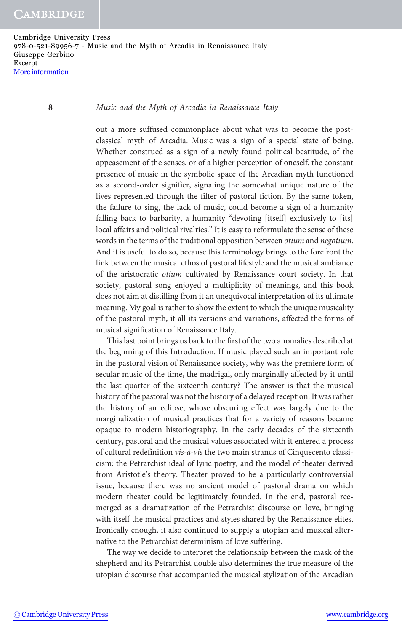out a more suffused commonplace about what was to become the postclassical myth of Arcadia. Music was a sign of a special state of being. Whether construed as a sign of a newly found political beatitude, of the appeasement of the senses, or of a higher perception of oneself, the constant presence of music in the symbolic space of the Arcadian myth functioned as a second-order signifier, signaling the somewhat unique nature of the lives represented through the filter of pastoral fiction. By the same token, the failure to sing, the lack of music, could become a sign of a humanity falling back to barbarity, a humanity "devoting [itself] exclusively to [its] local affairs and political rivalries." It is easy to reformulate the sense of these words in the terms of the traditional opposition between otium and negotium. And it is useful to do so, because this terminology brings to the forefront the link between the musical ethos of pastoral lifestyle and the musical ambiance of the aristocratic otium cultivated by Renaissance court society. In that society, pastoral song enjoyed a multiplicity of meanings, and this book does not aim at distilling from it an unequivocal interpretation of its ultimate meaning. My goal is rather to show the extent to which the unique musicality of the pastoral myth, it all its versions and variations, affected the forms of musical signification of Renaissance Italy.

This last point brings us back to the first of the two anomalies described at the beginning of this Introduction. If music played such an important role in the pastoral vision of Renaissance society, why was the premiere form of secular music of the time, the madrigal, only marginally affected by it until the last quarter of the sixteenth century? The answer is that the musical history of the pastoral was not the history of a delayed reception. It was rather the history of an eclipse, whose obscuring effect was largely due to the marginalization of musical practices that for a variety of reasons became opaque to modern historiography. In the early decades of the sixteenth century, pastoral and the musical values associated with it entered a process of cultural redefinition vis-à-vis the two main strands of Cinquecento classicism: the Petrarchist ideal of lyric poetry, and the model of theater derived from Aristotle's theory. Theater proved to be a particularly controversial issue, because there was no ancient model of pastoral drama on which modern theater could be legitimately founded. In the end, pastoral reemerged as a dramatization of the Petrarchist discourse on love, bringing with itself the musical practices and styles shared by the Renaissance elites. Ironically enough, it also continued to supply a utopian and musical alternative to the Petrarchist determinism of love suffering.

The way we decide to interpret the relationship between the mask of the shepherd and its Petrarchist double also determines the true measure of the utopian discourse that accompanied the musical stylization of the Arcadian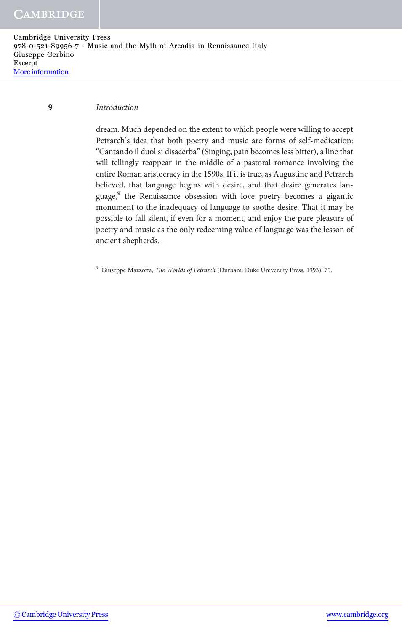Cambridge University Press 978-0-521-89956-7 - Music and the Myth of Arcadia in Renaissance Italy Giuseppe Gerbino Excerpt [More information](http://www.cambridge.org/9780521899567)

## 9 Introduction

dream. Much depended on the extent to which people were willing to accept Petrarch's idea that both poetry and music are forms of self-medication: "Cantando il duol si disacerba" (Singing, pain becomes less bitter), a line that will tellingly reappear in the middle of a pastoral romance involving the entire Roman aristocracy in the 1590s. If it is true, as Augustine and Petrarch believed, that language begins with desire, and that desire generates language,<sup>9</sup> the Renaissance obsession with love poetry becomes a gigantic monument to the inadequacy of language to soothe desire. That it may be possible to fall silent, if even for a moment, and enjoy the pure pleasure of poetry and music as the only redeeming value of language was the lesson of ancient shepherds.

<sup>9</sup> Giuseppe Mazzotta, The Worlds of Petrarch (Durham: Duke University Press, 1993), 75.